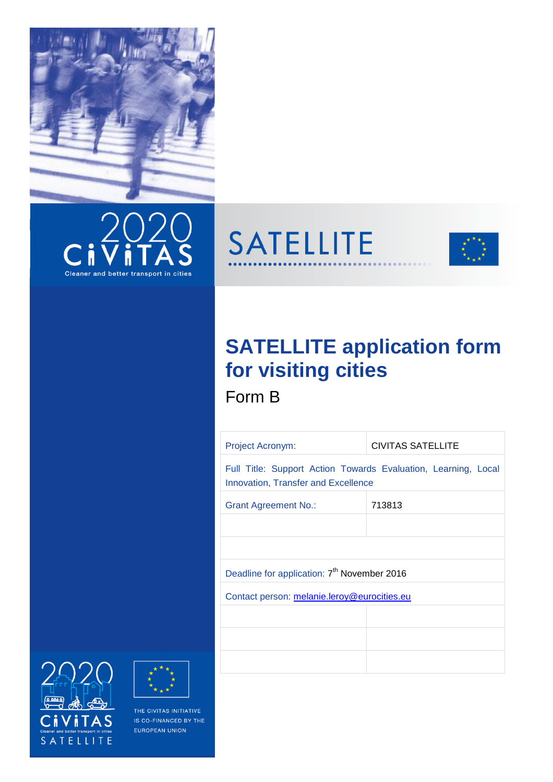







# **SATELLITE application form for visiting cities** Form B

Project Acronym: CIVITAS SATELLITE Full Title: Support Action Towards Evaluation, Learning, Local Innovation, Transfer and Excellence Grant Agreement No.: 713813 Deadline for application: 7<sup>th</sup> November 2016 Contact person: [melanie.leroy@eurocities.eu](mailto:melanie.leroy@eurocities.eu)





THE CIVITAS INITIATIVE IS CO-FINANCED BY THE EUROPEAN UNION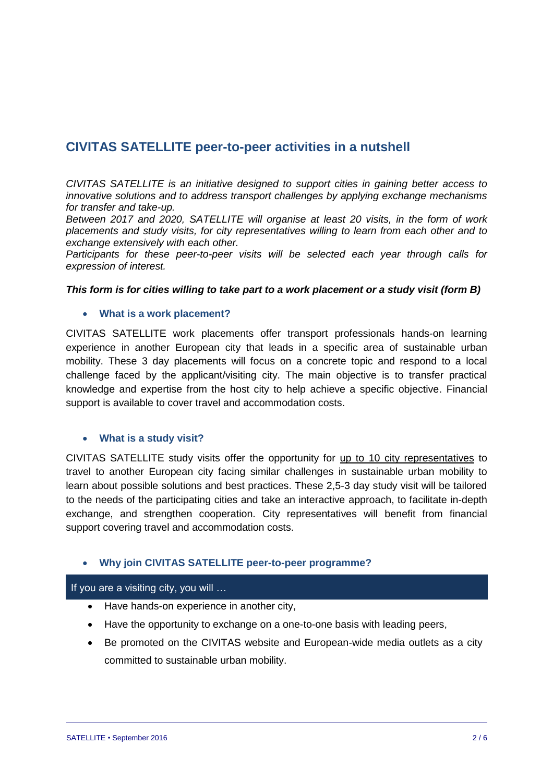# **CIVITAS SATELLITE peer-to-peer activities in a nutshell**

*CIVITAS SATELLITE is an initiative designed to support cities in gaining better access to innovative solutions and to address transport challenges by applying exchange mechanisms for transfer and take-up.*

*Between 2017 and 2020, SATELLITE will organise at least 20 visits, in the form of work placements and study visits, for city representatives willing to learn from each other and to exchange extensively with each other.*

*Participants for these peer-to-peer visits will be selected each year through calls for expression of interest.* 

#### *This form is for cities willing to take part to a work placement or a study visit (form B)*

#### **What is a work placement?**

CIVITAS SATELLITE work placements offer transport professionals hands-on learning experience in another European city that leads in a specific area of sustainable urban mobility. These 3 day placements will focus on a concrete topic and respond to a local challenge faced by the applicant/visiting city. The main objective is to transfer practical knowledge and expertise from the host city to help achieve a specific objective. Financial support is available to cover travel and accommodation costs.

#### **What is a study visit?**

CIVITAS SATELLITE study visits offer the opportunity for up to 10 city representatives to travel to another European city facing similar challenges in sustainable urban mobility to learn about possible solutions and best practices. These 2,5-3 day study visit will be tailored to the needs of the participating cities and take an interactive approach, to facilitate in-depth exchange, and strengthen cooperation. City representatives will benefit from financial support covering travel and accommodation costs.

#### **Why join CIVITAS SATELLITE peer-to-peer programme?**

#### If you are a visiting city, you will …

- Have hands-on experience in another city,
- Have the opportunity to exchange on a one-to-one basis with leading peers,
- Be promoted on the CIVITAS website and European-wide media outlets as a city committed to sustainable urban mobility.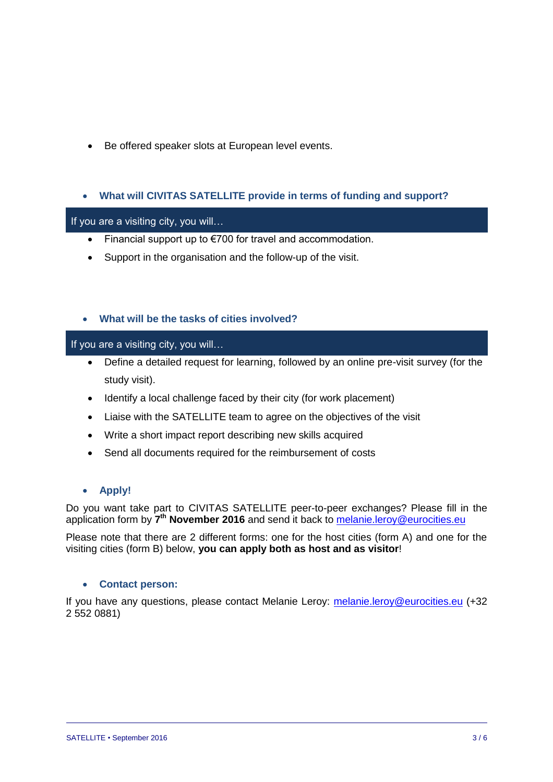• Be offered speaker slots at European level events.

#### **What will CIVITAS SATELLITE provide in terms of funding and support?**

#### If you are a visiting city, you will…

- Financial support up to €700 for travel and accommodation.
- Support in the organisation and the follow-up of the visit.

#### **What will be the tasks of cities involved?**

#### If you are a visiting city, you will…

- Define a detailed request for learning, followed by an online pre-visit survey (for the study visit).
- Identify a local challenge faced by their city (for work placement)
- Liaise with the SATELLITE team to agree on the objectives of the visit
- Write a short impact report describing new skills acquired
- Send all documents required for the reimbursement of costs

#### **Apply!**

Do you want take part to CIVITAS SATELLITE peer-to-peer exchanges? Please fill in the application form by **7 th November 2016** and send it back to [melanie.leroy@eurocities.eu](mailto:melanie.leroy@eurocities.eu)

Please note that there are 2 different forms: one for the host cities (form A) and one for the visiting cities (form B) below, **you can apply both as host and as visitor**!

#### **Contact person:**

If you have any questions, please contact Melanie Leroy: [melanie.leroy@eurocities.eu](mailto:melanie.leroy@eurocities.eu) (+32 2 552 0881)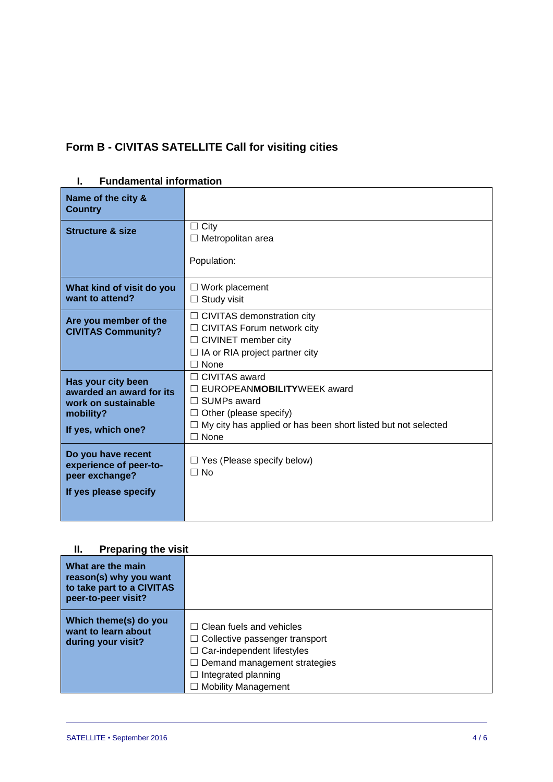# **Form B - CIVITAS SATELLITE Call for visiting cities**

| Name of the city &<br><b>Country</b>                                                                     |                                                                                                                                                                                                     |
|----------------------------------------------------------------------------------------------------------|-----------------------------------------------------------------------------------------------------------------------------------------------------------------------------------------------------|
| <b>Structure &amp; size</b>                                                                              | City<br>$\Box$<br>$\Box$ Metropolitan area<br>Population:                                                                                                                                           |
| What kind of visit do you<br>want to attend?                                                             | Work placement<br>Study visit                                                                                                                                                                       |
| Are you member of the<br><b>CIVITAS Community?</b>                                                       | $\Box$ CIVITAS demonstration city<br>□ CIVITAS Forum network city<br>□ CIVINET member city<br>$\Box$ IA or RIA project partner city<br>∃ None                                                       |
| Has your city been<br>awarded an award for its<br>work on sustainable<br>mobility?<br>If yes, which one? | $\sqsupset$ CIVITAS award<br>□ EUROPEANMOBILITYWEEK award<br>$\Box$ SUMPs award<br>$\Box$ Other (please specify)<br>My city has applied or has been short listed but not selected<br>None<br>$\Box$ |
| Do you have recent<br>experience of peer-to-<br>peer exchange?<br>If yes please specify                  | Yes (Please specify below)<br>$\Box$ No                                                                                                                                                             |

## **I. Fundamental information**

# **II. Preparing the visit**

| What are the main<br>reason(s) why you want<br>to take part to a CIVITAS<br>peer-to-peer visit? |                                                                                                                                                                                             |
|-------------------------------------------------------------------------------------------------|---------------------------------------------------------------------------------------------------------------------------------------------------------------------------------------------|
| Which theme(s) do you<br>want to learn about<br>during your visit?                              | Clean fuels and vehicles<br>$\Box$ Collective passenger transport<br>$\Box$ Car-independent lifestyles<br>Demand management strategies<br>Integrated planning<br><b>Mobility Management</b> |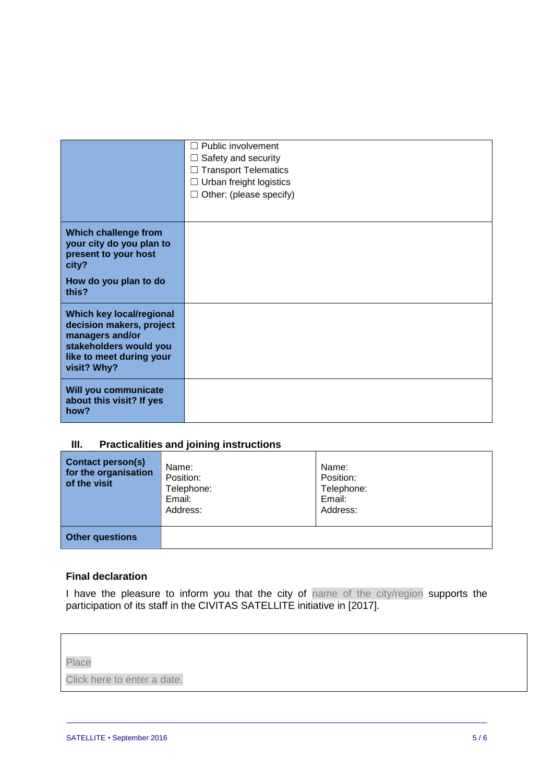|                                                                                                                                                     | $\Box$ Public involvement<br>$\Box$ Safety and security<br>$\Box$ Transport Telematics<br>$\Box$ Urban freight logistics<br>Other: (please specify)<br>ш |
|-----------------------------------------------------------------------------------------------------------------------------------------------------|----------------------------------------------------------------------------------------------------------------------------------------------------------|
|                                                                                                                                                     |                                                                                                                                                          |
| Which challenge from<br>your city do you plan to<br>present to your host<br>city?                                                                   |                                                                                                                                                          |
| How do you plan to do<br>this?                                                                                                                      |                                                                                                                                                          |
| <b>Which key local/regional</b><br>decision makers, project<br>managers and/or<br>stakeholders would you<br>like to meet during your<br>visit? Why? |                                                                                                                                                          |
| Will you communicate<br>about this visit? If yes<br>how?                                                                                            |                                                                                                                                                          |

## **III. Practicalities and joining instructions**

| <b>Contact person(s)</b><br>for the organisation<br>of the visit | Name:<br>Position:<br>Telephone:<br>Email:<br>Address: | Name:<br>Position:<br>Telephone:<br>Email:<br>Address: |
|------------------------------------------------------------------|--------------------------------------------------------|--------------------------------------------------------|
| <b>Other questions</b>                                           |                                                        |                                                        |

#### **Final declaration**

I have the pleasure to inform you that the city of name of the city/region supports the participation of its staff in the CIVITAS SATELLITE initiative in [2017].

Place

Click here to enter a date.